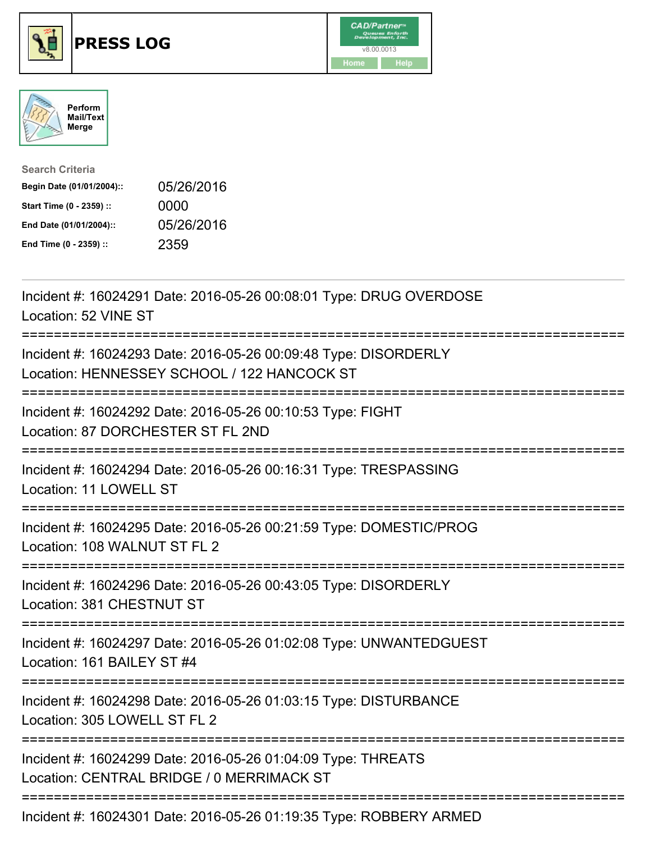





| <b>Search Criteria</b>    |            |
|---------------------------|------------|
| Begin Date (01/01/2004):: | 05/26/2016 |
| Start Time (0 - 2359) ::  | 0000       |
| End Date (01/01/2004)::   | 05/26/2016 |
| End Time (0 - 2359) ::    | 2359       |

| Incident #: 16024291 Date: 2016-05-26 00:08:01 Type: DRUG OVERDOSE<br>Location: 52 VINE ST                                                 |
|--------------------------------------------------------------------------------------------------------------------------------------------|
| Incident #: 16024293 Date: 2016-05-26 00:09:48 Type: DISORDERLY<br>Location: HENNESSEY SCHOOL / 122 HANCOCK ST                             |
| Incident #: 16024292 Date: 2016-05-26 00:10:53 Type: FIGHT<br>Location: 87 DORCHESTER ST FL 2ND                                            |
| Incident #: 16024294 Date: 2016-05-26 00:16:31 Type: TRESPASSING<br>Location: 11 LOWELL ST<br>--------------------                         |
| Incident #: 16024295 Date: 2016-05-26 00:21:59 Type: DOMESTIC/PROG<br>Location: 108 WALNUT ST FL 2<br>-------------                        |
| Incident #: 16024296 Date: 2016-05-26 00:43:05 Type: DISORDERLY<br>Location: 381 CHESTNUT ST                                               |
| Incident #: 16024297 Date: 2016-05-26 01:02:08 Type: UNWANTEDGUEST<br>Location: 161 BAILEY ST #4                                           |
| Incident #: 16024298 Date: 2016-05-26 01:03:15 Type: DISTURBANCE<br>Location: 305 LOWELL ST FL 2<br>======================<br>------------ |
| Incident #: 16024299 Date: 2016-05-26 01:04:09 Type: THREATS<br>Location: CENTRAL BRIDGE / 0 MERRIMACK ST                                  |
| Incident #: 16024301 Date: 2016-05-26 01:19:35 Type: ROBBERY ARMED                                                                         |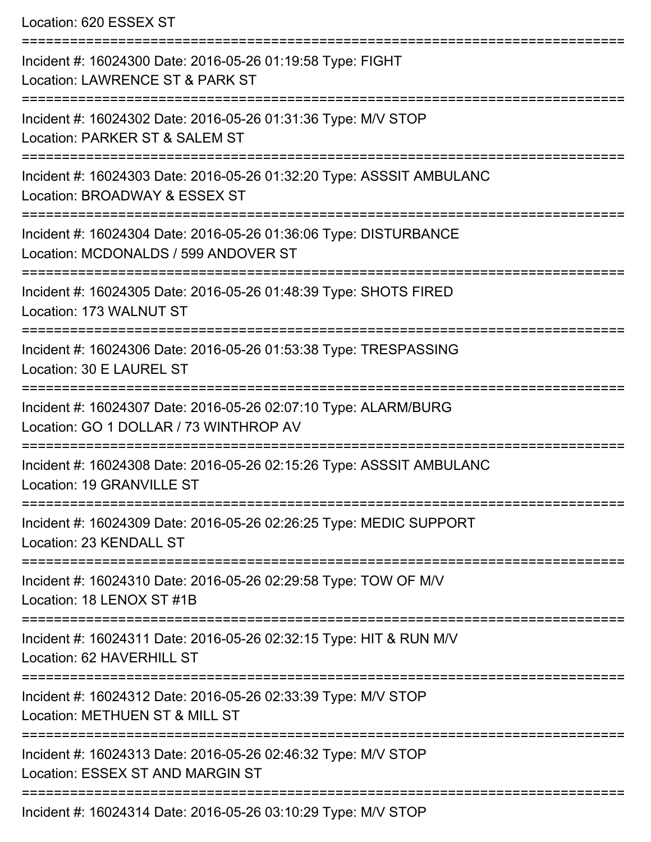Location: 620 ESSEX ST =========================================================================== Incident #: 16024300 Date: 2016-05-26 01:19:58 Type: FIGHT Location: LAWRENCE ST & PARK ST =========================================================================== Incident #: 16024302 Date: 2016-05-26 01:31:36 Type: M/V STOP Location: PARKER ST & SALEM ST =========================================================================== Incident #: 16024303 Date: 2016-05-26 01:32:20 Type: ASSSIT AMBULANC Location: BROADWAY & ESSEX ST =========================================================================== Incident #: 16024304 Date: 2016-05-26 01:36:06 Type: DISTURBANCE Location: MCDONALDS / 599 ANDOVER ST =========================================================================== Incident #: 16024305 Date: 2016-05-26 01:48:39 Type: SHOTS FIRED Location: 173 WALNUT ST =========================================================================== Incident #: 16024306 Date: 2016-05-26 01:53:38 Type: TRESPASSING Location: 30 E LAUREL ST =========================================================================== Incident #: 16024307 Date: 2016-05-26 02:07:10 Type: ALARM/BURG Location: GO 1 DOLLAR / 73 WINTHROP AV =========================================================================== Incident #: 16024308 Date: 2016-05-26 02:15:26 Type: ASSSIT AMBULANC Location: 19 GRANVILLE ST =========================================================================== Incident #: 16024309 Date: 2016-05-26 02:26:25 Type: MEDIC SUPPORT Location: 23 KENDALL ST =========================================================================== Incident #: 16024310 Date: 2016-05-26 02:29:58 Type: TOW OF M/V Location: 18 LENOX ST #1B =========================================================================== Incident #: 16024311 Date: 2016-05-26 02:32:15 Type: HIT & RUN M/V Location: 62 HAVERHILL ST =========================================================================== Incident #: 16024312 Date: 2016-05-26 02:33:39 Type: M/V STOP Location: METHUEN ST & MILL ST =========================================================================== Incident #: 16024313 Date: 2016-05-26 02:46:32 Type: M/V STOP Location: ESSEX ST AND MARGIN ST ===========================================================================

Incident #: 16024314 Date: 2016-05-26 03:10:29 Type: M/V STOP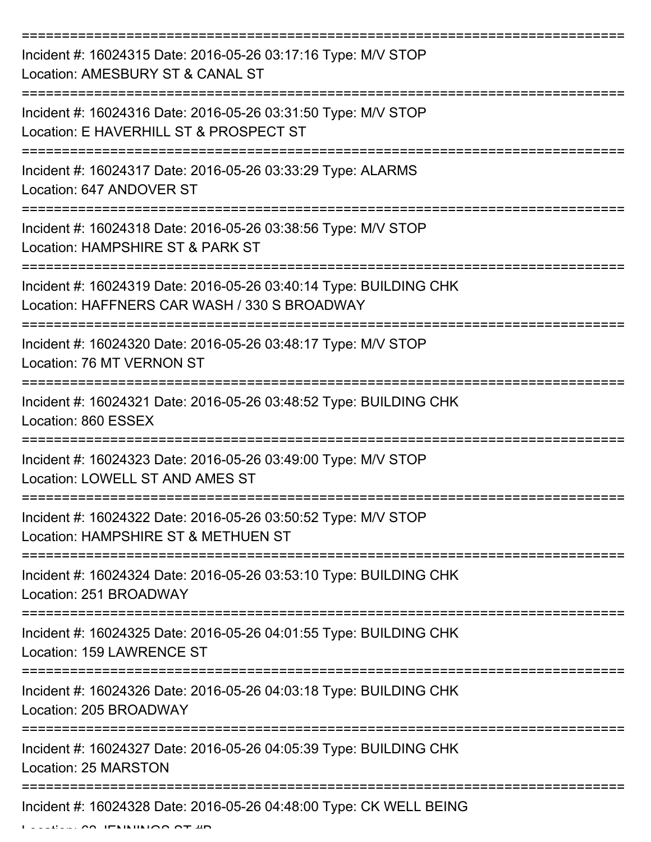| Incident #: 16024315 Date: 2016-05-26 03:17:16 Type: M/V STOP<br>Location: AMESBURY ST & CANAL ST                 |
|-------------------------------------------------------------------------------------------------------------------|
| Incident #: 16024316 Date: 2016-05-26 03:31:50 Type: M/V STOP<br>Location: E HAVERHILL ST & PROSPECT ST           |
| Incident #: 16024317 Date: 2016-05-26 03:33:29 Type: ALARMS<br>Location: 647 ANDOVER ST                           |
| Incident #: 16024318 Date: 2016-05-26 03:38:56 Type: M/V STOP<br>Location: HAMPSHIRE ST & PARK ST                 |
| Incident #: 16024319 Date: 2016-05-26 03:40:14 Type: BUILDING CHK<br>Location: HAFFNERS CAR WASH / 330 S BROADWAY |
| Incident #: 16024320 Date: 2016-05-26 03:48:17 Type: M/V STOP<br>Location: 76 MT VERNON ST                        |
| Incident #: 16024321 Date: 2016-05-26 03:48:52 Type: BUILDING CHK<br>Location: 860 ESSEX                          |
| Incident #: 16024323 Date: 2016-05-26 03:49:00 Type: M/V STOP<br>Location: LOWELL ST AND AMES ST                  |
| Incident #: 16024322 Date: 2016-05-26 03:50:52 Type: M/V STOP<br>Location: HAMPSHIRE ST & METHUEN ST              |
| Incident #: 16024324 Date: 2016-05-26 03:53:10 Type: BUILDING CHK<br>Location: 251 BROADWAY                       |
| Incident #: 16024325 Date: 2016-05-26 04:01:55 Type: BUILDING CHK<br>Location: 159 LAWRENCE ST                    |
| Incident #: 16024326 Date: 2016-05-26 04:03:18 Type: BUILDING CHK<br>Location: 205 BROADWAY                       |
| Incident #: 16024327 Date: 2016-05-26 04:05:39 Type: BUILDING CHK<br>Location: 25 MARSTON                         |
| Incident #: 16024328 Date: 2016-05-26 04:48:00 Type: CK WELL BEING                                                |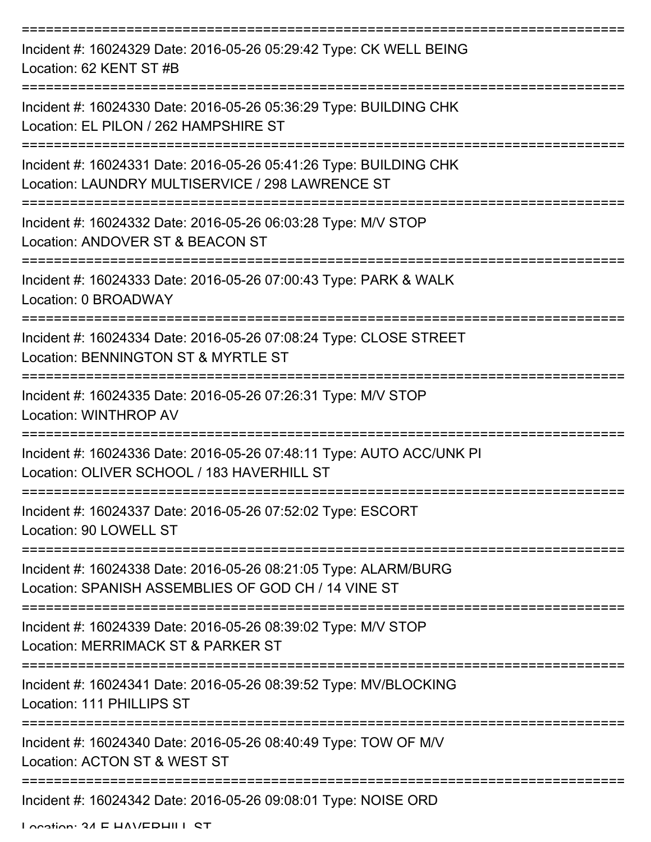| Incident #: 16024329 Date: 2016-05-26 05:29:42 Type: CK WELL BEING<br>Location: 62 KENT ST #B                                                 |
|-----------------------------------------------------------------------------------------------------------------------------------------------|
| Incident #: 16024330 Date: 2016-05-26 05:36:29 Type: BUILDING CHK<br>Location: EL PILON / 262 HAMPSHIRE ST                                    |
| Incident #: 16024331 Date: 2016-05-26 05:41:26 Type: BUILDING CHK<br>Location: LAUNDRY MULTISERVICE / 298 LAWRENCE ST<br>:=================   |
| Incident #: 16024332 Date: 2016-05-26 06:03:28 Type: M/V STOP<br>Location: ANDOVER ST & BEACON ST                                             |
| Incident #: 16024333 Date: 2016-05-26 07:00:43 Type: PARK & WALK<br>Location: 0 BROADWAY                                                      |
| =============<br>Incident #: 16024334 Date: 2016-05-26 07:08:24 Type: CLOSE STREET<br>Location: BENNINGTON ST & MYRTLE ST<br>---------------- |
| Incident #: 16024335 Date: 2016-05-26 07:26:31 Type: M/V STOP<br>Location: WINTHROP AV                                                        |
| Incident #: 16024336 Date: 2016-05-26 07:48:11 Type: AUTO ACC/UNK PI<br>Location: OLIVER SCHOOL / 183 HAVERHILL ST                            |
| Incident #: 16024337 Date: 2016-05-26 07:52:02 Type: ESCORT<br>Location: 90 LOWELL ST                                                         |
| Incident #: 16024338 Date: 2016-05-26 08:21:05 Type: ALARM/BURG<br>Location: SPANISH ASSEMBLIES OF GOD CH / 14 VINE ST                        |
| Incident #: 16024339 Date: 2016-05-26 08:39:02 Type: M/V STOP<br>Location: MERRIMACK ST & PARKER ST                                           |
| Incident #: 16024341 Date: 2016-05-26 08:39:52 Type: MV/BLOCKING<br>Location: 111 PHILLIPS ST                                                 |
| Incident #: 16024340 Date: 2016-05-26 08:40:49 Type: TOW OF M/V<br>Location: ACTON ST & WEST ST                                               |
| Incident #: 16024342 Date: 2016-05-26 09:08:01 Type: NOISE ORD                                                                                |

Location: 34 E HAVEDHILL CT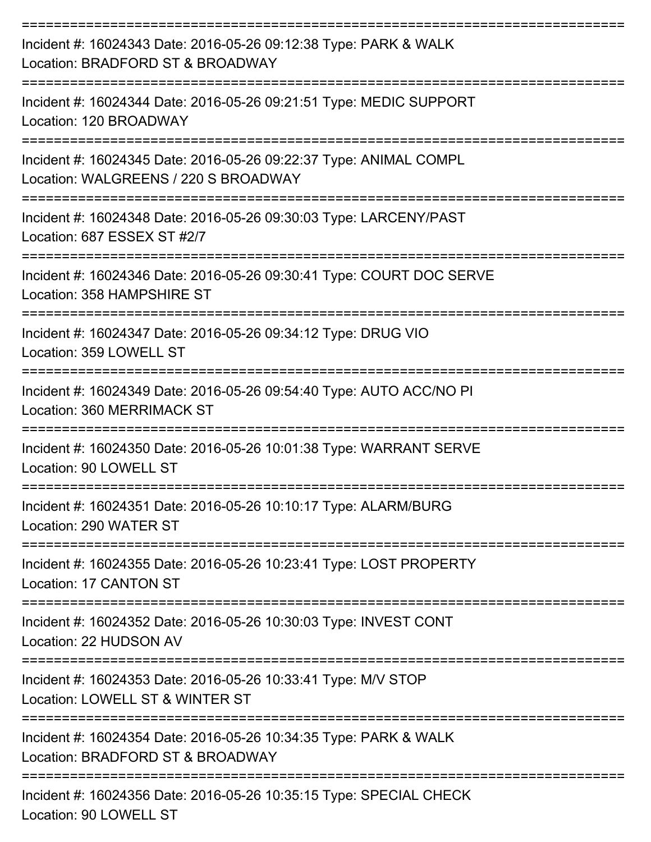| Incident #: 16024343 Date: 2016-05-26 09:12:38 Type: PARK & WALK<br>Location: BRADFORD ST & BROADWAY                  |
|-----------------------------------------------------------------------------------------------------------------------|
| Incident #: 16024344 Date: 2016-05-26 09:21:51 Type: MEDIC SUPPORT<br>Location: 120 BROADWAY                          |
| Incident #: 16024345 Date: 2016-05-26 09:22:37 Type: ANIMAL COMPL<br>Location: WALGREENS / 220 S BROADWAY             |
| Incident #: 16024348 Date: 2016-05-26 09:30:03 Type: LARCENY/PAST<br>Location: 687 ESSEX ST #2/7                      |
| Incident #: 16024346 Date: 2016-05-26 09:30:41 Type: COURT DOC SERVE<br>Location: 358 HAMPSHIRE ST                    |
| Incident #: 16024347 Date: 2016-05-26 09:34:12 Type: DRUG VIO<br>Location: 359 LOWELL ST                              |
| ----------------<br>Incident #: 16024349 Date: 2016-05-26 09:54:40 Type: AUTO ACC/NO PI<br>Location: 360 MERRIMACK ST |
| Incident #: 16024350 Date: 2016-05-26 10:01:38 Type: WARRANT SERVE<br>Location: 90 LOWELL ST                          |
| Incident #: 16024351 Date: 2016-05-26 10:10:17 Type: ALARM/BURG<br>Location: 290 WATER ST                             |
| Incident #: 16024355 Date: 2016-05-26 10:23:41 Type: LOST PROPERTY<br><b>Location: 17 CANTON ST</b>                   |
| Incident #: 16024352 Date: 2016-05-26 10:30:03 Type: INVEST CONT<br>Location: 22 HUDSON AV                            |
| Incident #: 16024353 Date: 2016-05-26 10:33:41 Type: M/V STOP<br>Location: LOWELL ST & WINTER ST                      |
| Incident #: 16024354 Date: 2016-05-26 10:34:35 Type: PARK & WALK<br>Location: BRADFORD ST & BROADWAY                  |
| Incident #: 16024356 Date: 2016-05-26 10:35:15 Type: SPECIAL CHECK<br>Location: 90 LOWELL ST                          |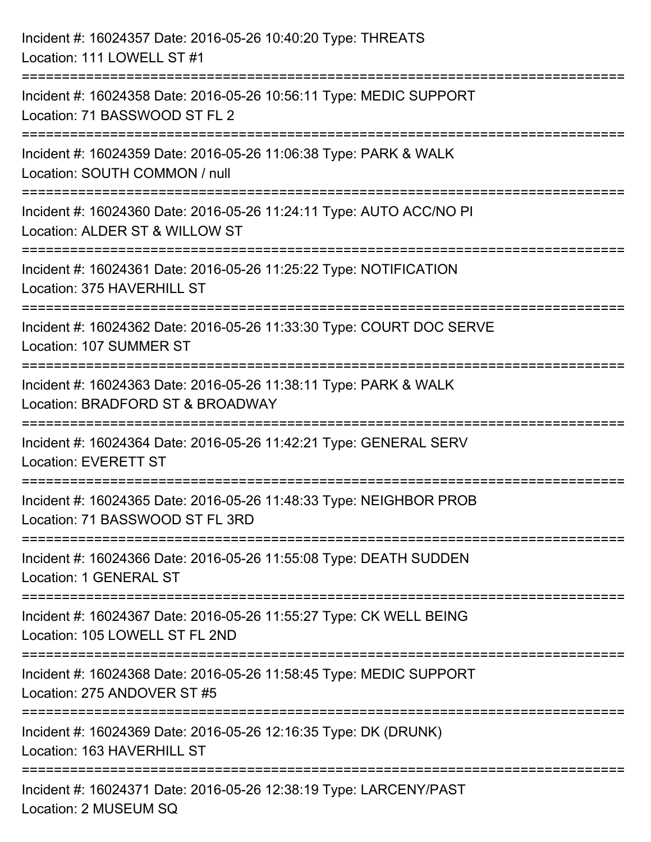| Incident #: 16024357 Date: 2016-05-26 10:40:20 Type: THREATS<br>Location: 111 LOWELL ST #1                                     |
|--------------------------------------------------------------------------------------------------------------------------------|
| Incident #: 16024358 Date: 2016-05-26 10:56:11 Type: MEDIC SUPPORT<br>Location: 71 BASSWOOD ST FL 2                            |
| =====================<br>Incident #: 16024359 Date: 2016-05-26 11:06:38 Type: PARK & WALK<br>Location: SOUTH COMMON / null     |
| Incident #: 16024360 Date: 2016-05-26 11:24:11 Type: AUTO ACC/NO PI<br>Location: ALDER ST & WILLOW ST<br>--------------------- |
| Incident #: 16024361 Date: 2016-05-26 11:25:22 Type: NOTIFICATION<br>Location: 375 HAVERHILL ST                                |
| Incident #: 16024362 Date: 2016-05-26 11:33:30 Type: COURT DOC SERVE<br>Location: 107 SUMMER ST                                |
| Incident #: 16024363 Date: 2016-05-26 11:38:11 Type: PARK & WALK<br>Location: BRADFORD ST & BROADWAY                           |
| Incident #: 16024364 Date: 2016-05-26 11:42:21 Type: GENERAL SERV<br><b>Location: EVERETT ST</b>                               |
| Incident #: 16024365 Date: 2016-05-26 11:48:33 Type: NEIGHBOR PROB<br>Location: 71 BASSWOOD ST FL 3RD                          |
| Incident #: 16024366 Date: 2016-05-26 11:55:08 Type: DEATH SUDDEN<br><b>Location: 1 GENERAL ST</b>                             |
| Incident #: 16024367 Date: 2016-05-26 11:55:27 Type: CK WELL BEING<br>Location: 105 LOWELL ST FL 2ND                           |
| Incident #: 16024368 Date: 2016-05-26 11:58:45 Type: MEDIC SUPPORT<br>Location: 275 ANDOVER ST #5                              |
| Incident #: 16024369 Date: 2016-05-26 12:16:35 Type: DK (DRUNK)<br>Location: 163 HAVERHILL ST                                  |
| Incident #: 16024371 Date: 2016-05-26 12:38:19 Type: LARCENY/PAST<br>Location: 2 MUSEUM SQ                                     |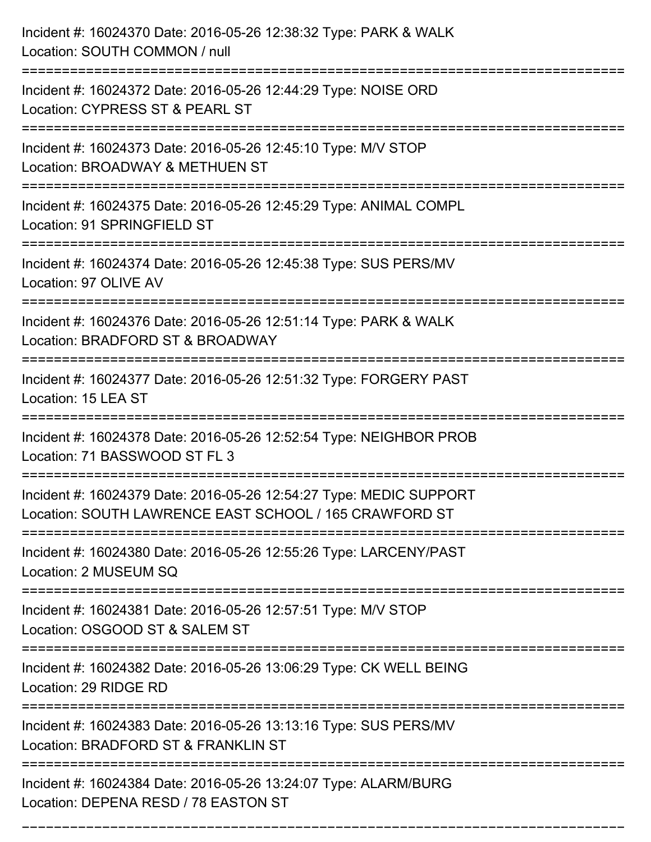| Incident #: 16024370 Date: 2016-05-26 12:38:32 Type: PARK & WALK<br>Location: SOUTH COMMON / null                              |
|--------------------------------------------------------------------------------------------------------------------------------|
| Incident #: 16024372 Date: 2016-05-26 12:44:29 Type: NOISE ORD<br>Location: CYPRESS ST & PEARL ST                              |
| Incident #: 16024373 Date: 2016-05-26 12:45:10 Type: M/V STOP<br>Location: BROADWAY & METHUEN ST                               |
| Incident #: 16024375 Date: 2016-05-26 12:45:29 Type: ANIMAL COMPL<br>Location: 91 SPRINGFIELD ST                               |
| Incident #: 16024374 Date: 2016-05-26 12:45:38 Type: SUS PERS/MV<br>Location: 97 OLIVE AV                                      |
| Incident #: 16024376 Date: 2016-05-26 12:51:14 Type: PARK & WALK<br>Location: BRADFORD ST & BROADWAY<br>====================== |
| Incident #: 16024377 Date: 2016-05-26 12:51:32 Type: FORGERY PAST<br>Location: 15 LEA ST                                       |
| Incident #: 16024378 Date: 2016-05-26 12:52:54 Type: NEIGHBOR PROB<br>Location: 71 BASSWOOD ST FL 3                            |
| Incident #: 16024379 Date: 2016-05-26 12:54:27 Type: MEDIC SUPPORT<br>Location: SOUTH LAWRENCE EAST SCHOOL / 165 CRAWFORD ST   |
| Incident #: 16024380 Date: 2016-05-26 12:55:26 Type: LARCENY/PAST<br>Location: 2 MUSEUM SQ                                     |
| Incident #: 16024381 Date: 2016-05-26 12:57:51 Type: M/V STOP<br>Location: OSGOOD ST & SALEM ST                                |
| Incident #: 16024382 Date: 2016-05-26 13:06:29 Type: CK WELL BEING<br>Location: 29 RIDGE RD                                    |
| Incident #: 16024383 Date: 2016-05-26 13:13:16 Type: SUS PERS/MV<br>Location: BRADFORD ST & FRANKLIN ST                        |
| Incident #: 16024384 Date: 2016-05-26 13:24:07 Type: ALARM/BURG<br>Location: DEPENA RESD / 78 EASTON ST                        |

===========================================================================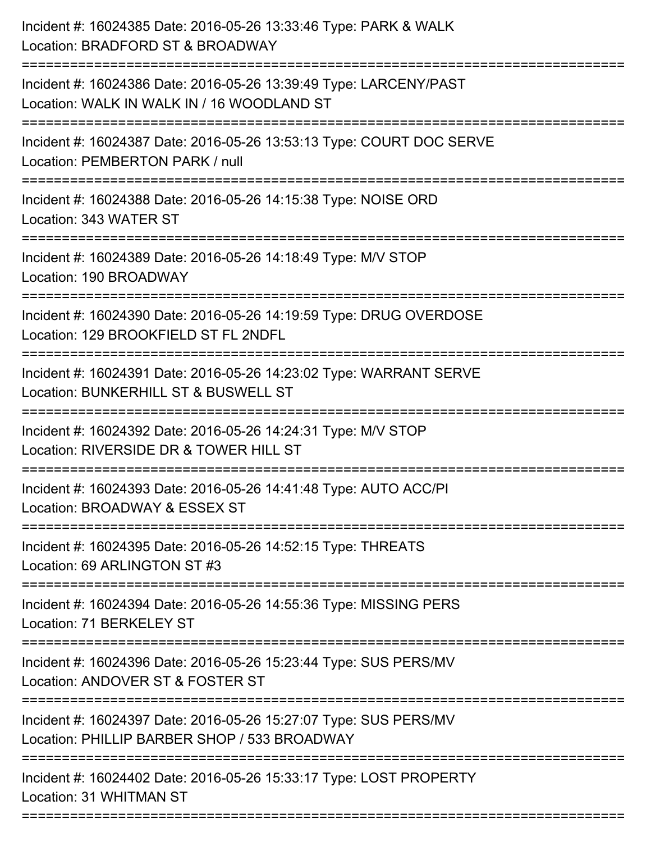| Incident #: 16024385 Date: 2016-05-26 13:33:46 Type: PARK & WALK<br>Location: BRADFORD ST & BROADWAY                               |
|------------------------------------------------------------------------------------------------------------------------------------|
| Incident #: 16024386 Date: 2016-05-26 13:39:49 Type: LARCENY/PAST<br>Location: WALK IN WALK IN / 16 WOODLAND ST                    |
| Incident #: 16024387 Date: 2016-05-26 13:53:13 Type: COURT DOC SERVE<br>Location: PEMBERTON PARK / null<br>======================= |
| Incident #: 16024388 Date: 2016-05-26 14:15:38 Type: NOISE ORD<br>Location: 343 WATER ST                                           |
| Incident #: 16024389 Date: 2016-05-26 14:18:49 Type: M/V STOP<br>Location: 190 BROADWAY                                            |
| Incident #: 16024390 Date: 2016-05-26 14:19:59 Type: DRUG OVERDOSE<br>Location: 129 BROOKFIELD ST FL 2NDFL                         |
| Incident #: 16024391 Date: 2016-05-26 14:23:02 Type: WARRANT SERVE<br>Location: BUNKERHILL ST & BUSWELL ST<br>=================    |
| Incident #: 16024392 Date: 2016-05-26 14:24:31 Type: M/V STOP<br>Location: RIVERSIDE DR & TOWER HILL ST                            |
| Incident #: 16024393 Date: 2016-05-26 14:41:48 Type: AUTO ACC/PI<br>Location: BROADWAY & ESSEX ST                                  |
| Incident #: 16024395 Date: 2016-05-26 14:52:15 Type: THREATS<br>Location: 69 ARLINGTON ST #3                                       |
| Incident #: 16024394 Date: 2016-05-26 14:55:36 Type: MISSING PERS<br>Location: 71 BERKELEY ST                                      |
| Incident #: 16024396 Date: 2016-05-26 15:23:44 Type: SUS PERS/MV<br>Location: ANDOVER ST & FOSTER ST                               |
| Incident #: 16024397 Date: 2016-05-26 15:27:07 Type: SUS PERS/MV<br>Location: PHILLIP BARBER SHOP / 533 BROADWAY                   |
| Incident #: 16024402 Date: 2016-05-26 15:33:17 Type: LOST PROPERTY<br>Location: 31 WHITMAN ST                                      |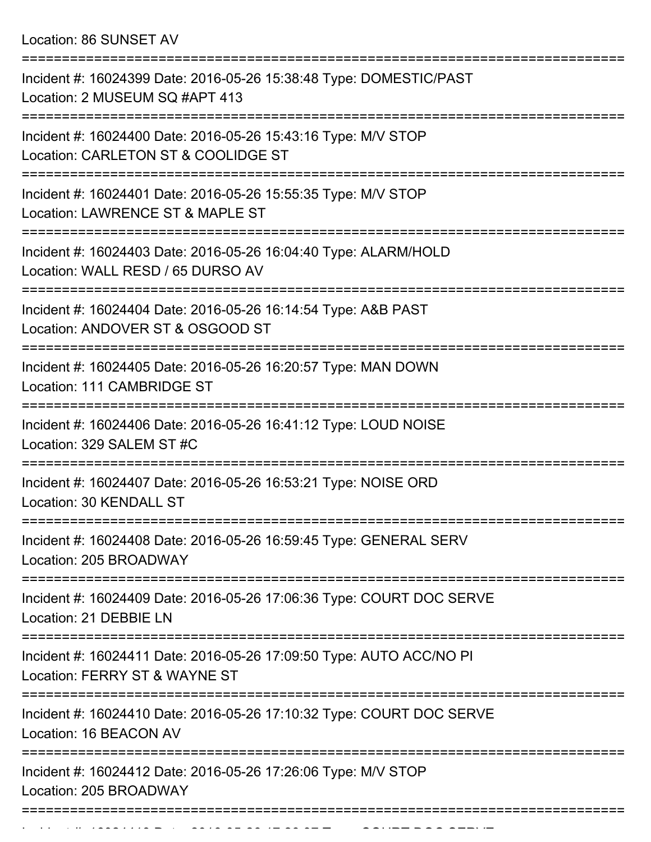Location: 86 SUNSET AV

| Incident #: 16024399 Date: 2016-05-26 15:38:48 Type: DOMESTIC/PAST<br>Location: 2 MUSEUM SQ #APT 413 |
|------------------------------------------------------------------------------------------------------|
| Incident #: 16024400 Date: 2016-05-26 15:43:16 Type: M/V STOP<br>Location: CARLETON ST & COOLIDGE ST |
| Incident #: 16024401 Date: 2016-05-26 15:55:35 Type: M/V STOP<br>Location: LAWRENCE ST & MAPLE ST    |
| Incident #: 16024403 Date: 2016-05-26 16:04:40 Type: ALARM/HOLD<br>Location: WALL RESD / 65 DURSO AV |
| Incident #: 16024404 Date: 2016-05-26 16:14:54 Type: A&B PAST<br>Location: ANDOVER ST & OSGOOD ST    |
| Incident #: 16024405 Date: 2016-05-26 16:20:57 Type: MAN DOWN<br>Location: 111 CAMBRIDGE ST          |
| Incident #: 16024406 Date: 2016-05-26 16:41:12 Type: LOUD NOISE<br>Location: 329 SALEM ST #C         |
| Incident #: 16024407 Date: 2016-05-26 16:53:21 Type: NOISE ORD<br>Location: 30 KENDALL ST            |
| Incident #: 16024408 Date: 2016-05-26 16:59:45 Type: GENERAL SERV<br>Location: 205 BROADWAY          |
| Incident #: 16024409 Date: 2016-05-26 17:06:36 Type: COURT DOC SERVE<br>Location: 21 DEBBIE LN       |
| Incident #: 16024411 Date: 2016-05-26 17:09:50 Type: AUTO ACC/NO PI<br>Location: FERRY ST & WAYNE ST |
| Incident #: 16024410 Date: 2016-05-26 17:10:32 Type: COURT DOC SERVE<br>Location: 16 BEACON AV       |
| Incident #: 16024412 Date: 2016-05-26 17:26:06 Type: M/V STOP<br>Location: 205 BROADWAY              |
|                                                                                                      |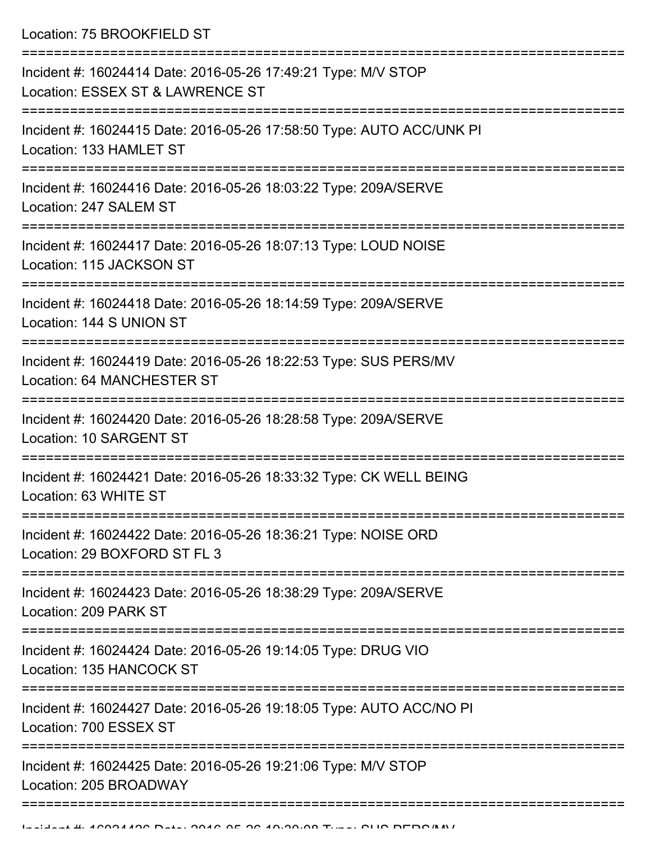Location: 75 BROOKFIELD ST

| Incident #: 16024414 Date: 2016-05-26 17:49:21 Type: M/V STOP<br>Location: ESSEX ST & LAWRENCE ST |
|---------------------------------------------------------------------------------------------------|
| Incident #: 16024415 Date: 2016-05-26 17:58:50 Type: AUTO ACC/UNK PI<br>Location: 133 HAMLET ST   |
| Incident #: 16024416 Date: 2016-05-26 18:03:22 Type: 209A/SERVE<br>Location: 247 SALEM ST         |
| Incident #: 16024417 Date: 2016-05-26 18:07:13 Type: LOUD NOISE<br>Location: 115 JACKSON ST       |
| Incident #: 16024418 Date: 2016-05-26 18:14:59 Type: 209A/SERVE<br>Location: 144 S UNION ST       |
| Incident #: 16024419 Date: 2016-05-26 18:22:53 Type: SUS PERS/MV<br>Location: 64 MANCHESTER ST    |
| Incident #: 16024420 Date: 2016-05-26 18:28:58 Type: 209A/SERVE<br>Location: 10 SARGENT ST        |
| Incident #: 16024421 Date: 2016-05-26 18:33:32 Type: CK WELL BEING<br>Location: 63 WHITE ST       |
| Incident #: 16024422 Date: 2016-05-26 18:36:21 Type: NOISE ORD<br>Location: 29 BOXFORD ST FL 3    |
| Incident #: 16024423 Date: 2016-05-26 18:38:29 Type: 209A/SERVE<br>Location: 209 PARK ST          |
| Incident #: 16024424 Date: 2016-05-26 19:14:05 Type: DRUG VIO<br>Location: 135 HANCOCK ST         |
| Incident #: 16024427 Date: 2016-05-26 19:18:05 Type: AUTO ACC/NO PI<br>Location: 700 ESSEX ST     |
| Incident #: 16024425 Date: 2016-05-26 19:21:06 Type: M/V STOP<br>Location: 205 BROADWAY           |
|                                                                                                   |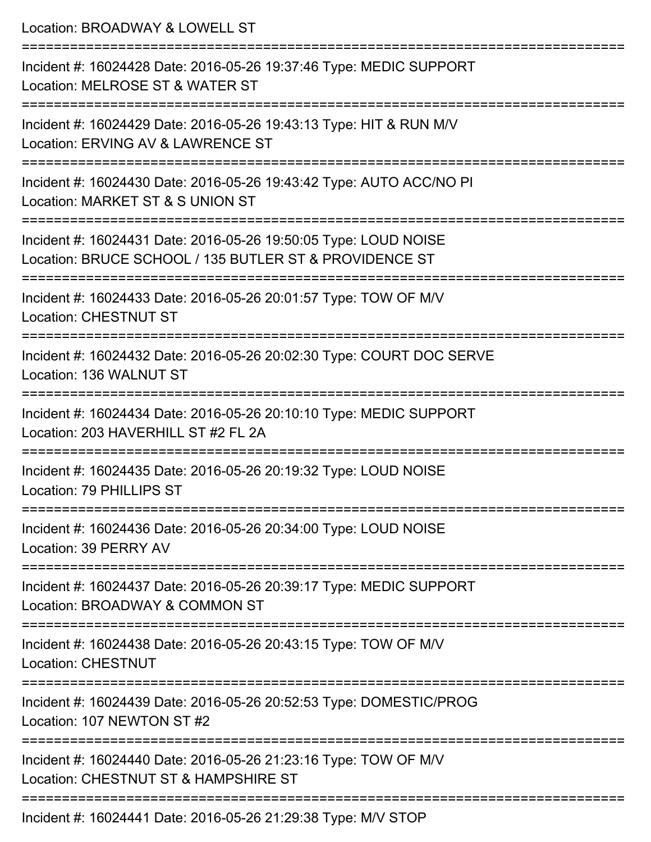| Location: BROADWAY & LOWELL ST                                                                                            |
|---------------------------------------------------------------------------------------------------------------------------|
| Incident #: 16024428 Date: 2016-05-26 19:37:46 Type: MEDIC SUPPORT<br>Location: MELROSE ST & WATER ST                     |
| Incident #: 16024429 Date: 2016-05-26 19:43:13 Type: HIT & RUN M/V<br>Location: ERVING AV & LAWRENCE ST                   |
| Incident #: 16024430 Date: 2016-05-26 19:43:42 Type: AUTO ACC/NO PI<br>Location: MARKET ST & S UNION ST                   |
| Incident #: 16024431 Date: 2016-05-26 19:50:05 Type: LOUD NOISE<br>Location: BRUCE SCHOOL / 135 BUTLER ST & PROVIDENCE ST |
| Incident #: 16024433 Date: 2016-05-26 20:01:57 Type: TOW OF M/V<br><b>Location: CHESTNUT ST</b>                           |
| Incident #: 16024432 Date: 2016-05-26 20:02:30 Type: COURT DOC SERVE<br>Location: 136 WALNUT ST                           |
| Incident #: 16024434 Date: 2016-05-26 20:10:10 Type: MEDIC SUPPORT<br>Location: 203 HAVERHILL ST #2 FL 2A                 |
| Incident #: 16024435 Date: 2016-05-26 20:19:32 Type: LOUD NOISE<br>Location: 79 PHILLIPS ST                               |
| Incident #: 16024436 Date: 2016-05-26 20:34:00 Type: LOUD NOISE<br>Location: 39 PERRY AV                                  |
| Incident #: 16024437 Date: 2016-05-26 20:39:17 Type: MEDIC SUPPORT<br>Location: BROADWAY & COMMON ST                      |
| Incident #: 16024438 Date: 2016-05-26 20:43:15 Type: TOW OF M/V<br><b>Location: CHESTNUT</b>                              |
| Incident #: 16024439 Date: 2016-05-26 20:52:53 Type: DOMESTIC/PROG<br>Location: 107 NEWTON ST #2                          |
| Incident #: 16024440 Date: 2016-05-26 21:23:16 Type: TOW OF M/V<br>Location: CHESTNUT ST & HAMPSHIRE ST                   |
| Incident #: 16024441 Date: 2016-05-26 21:29:38 Type: M/V STOP                                                             |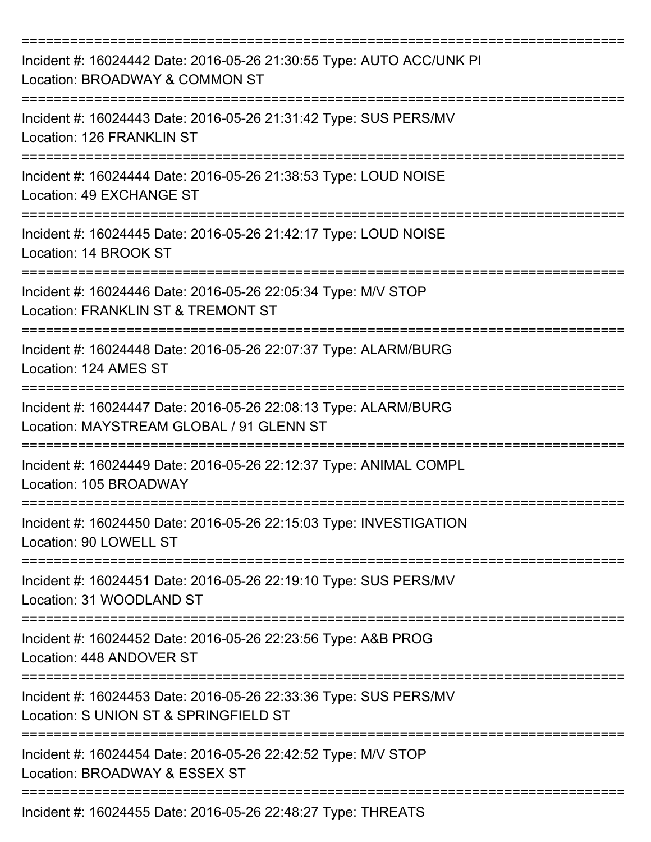| Incident #: 16024442 Date: 2016-05-26 21:30:55 Type: AUTO ACC/UNK PI<br>Location: BROADWAY & COMMON ST      |
|-------------------------------------------------------------------------------------------------------------|
| Incident #: 16024443 Date: 2016-05-26 21:31:42 Type: SUS PERS/MV<br>Location: 126 FRANKLIN ST               |
| Incident #: 16024444 Date: 2016-05-26 21:38:53 Type: LOUD NOISE<br>Location: 49 EXCHANGE ST                 |
| Incident #: 16024445 Date: 2016-05-26 21:42:17 Type: LOUD NOISE<br>Location: 14 BROOK ST                    |
| Incident #: 16024446 Date: 2016-05-26 22:05:34 Type: M/V STOP<br>Location: FRANKLIN ST & TREMONT ST         |
| Incident #: 16024448 Date: 2016-05-26 22:07:37 Type: ALARM/BURG<br>Location: 124 AMES ST                    |
| Incident #: 16024447 Date: 2016-05-26 22:08:13 Type: ALARM/BURG<br>Location: MAYSTREAM GLOBAL / 91 GLENN ST |
| Incident #: 16024449 Date: 2016-05-26 22:12:37 Type: ANIMAL COMPL<br>Location: 105 BROADWAY                 |
| Incident #: 16024450 Date: 2016-05-26 22:15:03 Type: INVESTIGATION<br>Location: 90 LOWELL ST                |
| Incident #: 16024451 Date: 2016-05-26 22:19:10 Type: SUS PERS/MV<br>Location: 31 WOODLAND ST                |
| Incident #: 16024452 Date: 2016-05-26 22:23:56 Type: A&B PROG<br>Location: 448 ANDOVER ST                   |
| Incident #: 16024453 Date: 2016-05-26 22:33:36 Type: SUS PERS/MV<br>Location: S UNION ST & SPRINGFIELD ST   |
| Incident #: 16024454 Date: 2016-05-26 22:42:52 Type: M/V STOP<br>Location: BROADWAY & ESSEX ST              |
| Incident #: 16024455 Date: 2016-05-26 22:48:27 Type: THREATS                                                |